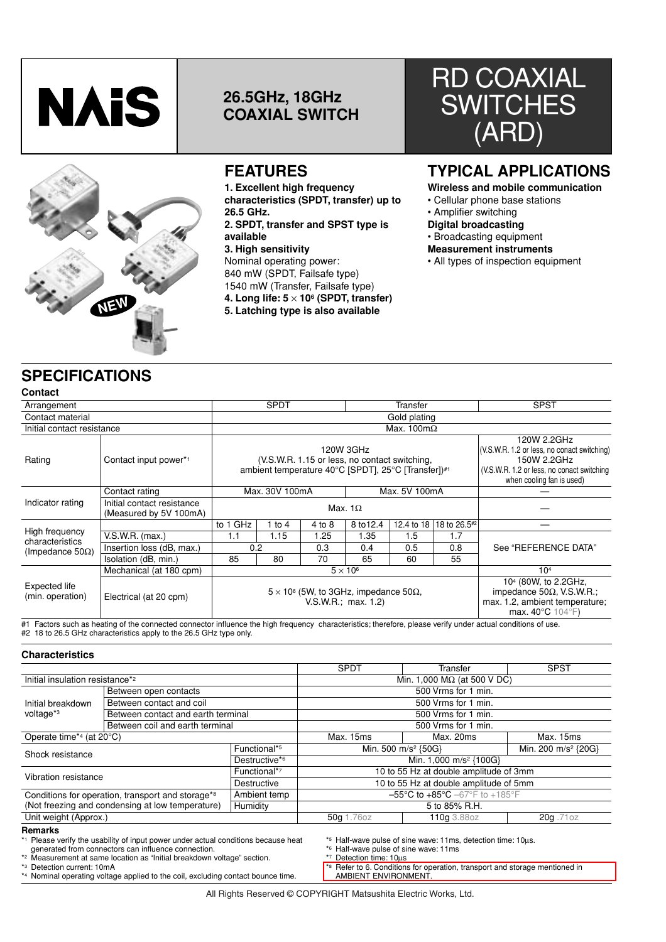

# **26.5GHz, 18GHz COAXIAL SWITCH**



# **FEATURES**

**1. Excellent high frequency characteristics (SPDT, transfer) up to 26.5 GHz. 2. SPDT, transfer and SPST type is available 3. High sensitivity** Nominal operating power: 840 mW (SPDT, Failsafe type) 1540 mW (Transfer, Failsafe type) **4. Long life: 5** × **106 (SPDT, transfer)**

**5. Latching type is also available**

# RD COAXIAL **SWITCHES** (ARD)

# **TYPICAL APPLICATIONS**

**Wireless and mobile communication**

- Cellular phone base stations
- Amplifier switching
- **Digital broadcasting**
- Broadcasting equipment
- **Measurement instruments**
- All types of inspection equipment

# **SPECIFICATIONS**

|--|

| ovmuut                            |                                                      |                                                                                                                   |          |        |                                                                                                                                                      |                           |                                                                                                                                                 |                      |  |
|-----------------------------------|------------------------------------------------------|-------------------------------------------------------------------------------------------------------------------|----------|--------|------------------------------------------------------------------------------------------------------------------------------------------------------|---------------------------|-------------------------------------------------------------------------------------------------------------------------------------------------|----------------------|--|
| Arrangement                       |                                                      | <b>SPDT</b>                                                                                                       |          |        | Transfer                                                                                                                                             |                           |                                                                                                                                                 | <b>SPST</b>          |  |
| Contact material                  |                                                      |                                                                                                                   |          |        |                                                                                                                                                      | Gold plating              |                                                                                                                                                 |                      |  |
| Initial contact resistance        |                                                      |                                                                                                                   |          |        |                                                                                                                                                      | Max. $100 \text{m}\Omega$ |                                                                                                                                                 |                      |  |
| Rating                            | Contact input power*1                                | 120W 3GHz<br>(V.S.W.R. 1.15 or less, no contact switching,<br>ambient temperature 40°C [SPDT], 25°C [Transfer])#1 |          |        | 120W 2.2GHz<br>(V.S.W.R. 1.2 or less, no conact switching)<br>150W 2.2GHz<br>(V.S.W.R. 1.2 or less, no conact switching<br>when cooling fan is used) |                           |                                                                                                                                                 |                      |  |
|                                   | Contact rating                                       | Max. 5V 100mA<br>Max. 30V 100mA                                                                                   |          |        |                                                                                                                                                      |                           |                                                                                                                                                 |                      |  |
| Indicator rating                  | Initial contact resistance<br>(Measured by 5V 100mA) | Max. $1\Omega$                                                                                                    |          |        |                                                                                                                                                      |                           |                                                                                                                                                 |                      |  |
|                                   |                                                      | to 1 GHz                                                                                                          | 1 to $4$ | 4 to 8 | 8 to 12.4                                                                                                                                            | 12.4 to 18                | 18 to 26.5#2                                                                                                                                    |                      |  |
| High frequency<br>characteristics | V.S.W.R. (max.)                                      | 1.1                                                                                                               | 1.15     | 1.25   | 1.35                                                                                                                                                 | 1.5                       | 1.7                                                                                                                                             |                      |  |
| (Impedance 50 $\Omega$ )          | Insertion loss (dB, max.)                            | 0.2                                                                                                               |          | 0.3    | 0.4                                                                                                                                                  | 0.5                       | 0.8                                                                                                                                             | See "REFERENCE DATA" |  |
|                                   | Isolation (dB, min.)                                 | 85                                                                                                                | 80       | 70     | 65                                                                                                                                                   | 60                        | 55                                                                                                                                              |                      |  |
|                                   | Mechanical (at 180 cpm)                              |                                                                                                                   |          |        | $5 \times 10^6$                                                                                                                                      |                           |                                                                                                                                                 | 10 <sup>4</sup>      |  |
| Expected life<br>(min. operation) | Electrical (at 20 cpm)                               | $5 \times 10^6$ (5W, to 3GHz, impedance 50 $\Omega$ ,<br>V.S.W.R.; max. 1.2)                                      |          |        |                                                                                                                                                      |                           | 10 <sup>4</sup> (80W, to 2.2GHz,<br>impedance $50\Omega$ , V.S.W.R.;<br>max. 1.2, ambient temperature;<br>max. $40^{\circ}$ C 104 $^{\circ}$ F) |                      |  |

#1 Factors such as heating of the connected connector influence the high frequency characteristics; therefore, please verify under actual conditions of use. #2 18 to 26.5 GHz characteristics apply to the 26.5 GHz type only.

#### **Characteristics**

|                                                                               |                                    |              | <b>SPDT</b>                         | Transfer                                                                                                                                                                                                                                                                                    | <b>SPST</b> |  |
|-------------------------------------------------------------------------------|------------------------------------|--------------|-------------------------------------|---------------------------------------------------------------------------------------------------------------------------------------------------------------------------------------------------------------------------------------------------------------------------------------------|-------------|--|
| Initial insulation resistance* <sup>2</sup>                                   |                                    |              | Min. 1,000 M $\Omega$ (at 500 V DC) |                                                                                                                                                                                                                                                                                             |             |  |
|                                                                               | Between open contacts              |              |                                     | 500 Vrms for 1 min.                                                                                                                                                                                                                                                                         |             |  |
| Initial breakdown                                                             | Between contact and coil           |              |                                     | 500 Vrms for 1 min.<br>500 Vrms for 1 min.<br>500 Vrms for 1 min.<br>Max. 15ms<br>Max. 20ms<br>Min. 500 m/s <sup>2</sup> {50G}<br>Min. 200 m/s <sup>2</sup> {20G}<br>Min. 1,000 m/s <sup>2</sup> {100G}<br>10 to 55 Hz at double amplitude of 3mm<br>10 to 55 Hz at double amplitude of 5mm |             |  |
| voltage <sup>*3</sup>                                                         | Between contact and earth terminal |              |                                     | 5 to 85% R.H.<br>20g.71oz<br>110g 3.88oz                                                                                                                                                                                                                                                    |             |  |
|                                                                               | Between coil and earth terminal    |              |                                     | $-55^{\circ}$ C to $+85^{\circ}$ C $-67^{\circ}$ F to $+185^{\circ}$ F                                                                                                                                                                                                                      |             |  |
| Operate time*4 (at 20°C)                                                      |                                    |              | Max. 15ms                           |                                                                                                                                                                                                                                                                                             |             |  |
| Shock resistance                                                              |                                    | Functional*5 |                                     |                                                                                                                                                                                                                                                                                             |             |  |
|                                                                               | Destructive*6                      |              |                                     |                                                                                                                                                                                                                                                                                             |             |  |
| Vibration resistance                                                          |                                    | Functional*7 |                                     |                                                                                                                                                                                                                                                                                             |             |  |
|                                                                               |                                    | Destructive  |                                     |                                                                                                                                                                                                                                                                                             |             |  |
| Ambient temp<br>Conditions for operation, transport and storage* <sup>8</sup> |                                    |              |                                     |                                                                                                                                                                                                                                                                                             |             |  |
| (Not freezing and condensing at low temperature)<br>Humidity                  |                                    |              |                                     |                                                                                                                                                                                                                                                                                             |             |  |
| Unit weight (Approx.)                                                         | 50g 1.76oz                         |              |                                     |                                                                                                                                                                                                                                                                                             |             |  |
| <b>Remarks</b>                                                                |                                    |              |                                     |                                                                                                                                                                                                                                                                                             |             |  |

\*<sup>1</sup> Please verify the usability of input power under actual conditions because heat generated from connectors can influence connection.

\*2 Measurement at same location as "Initial breakdown voltage" section.

\*3 Detection current: 10mA

\*4 Nominal operating voltage applied to the coil, excluding contact bounce time.

\*5 Half-wave pulse of sine wave: 11ms, detection time: 10µs.

\*6 Half-wave pulse of sine wave: 11ms

\*7 Detection time: 10µs

\*8 Refer to 6. Conditions for operation, transport and storage mentioned in AMBIENT ENVIRONMENT.

All Rights Reserved © COPYRIGHT Matsushita Electric Works, Ltd.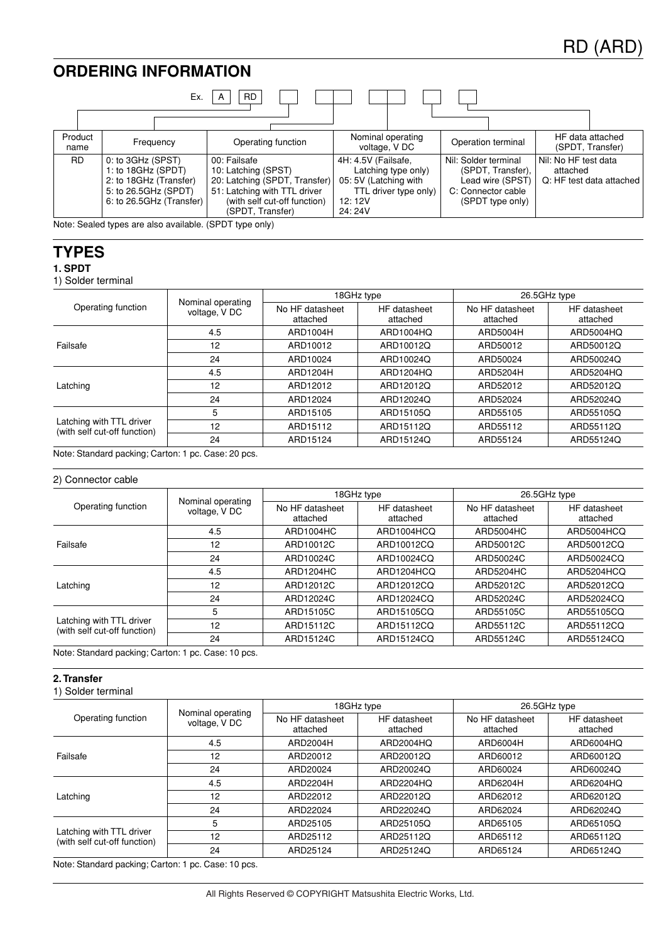# **ORDERING INFORMATION**



**TYPES**

**1. SPDT**

1) Solder terminal

|                                                          |                                    |                             | 18GHz type               | 26.5GHz type                                                                                                                            |                          |  |
|----------------------------------------------------------|------------------------------------|-----------------------------|--------------------------|-----------------------------------------------------------------------------------------------------------------------------------------|--------------------------|--|
| Operating function                                       | Nominal operating<br>voltage, V DC | No HF datasheet<br>attached | HF datasheet<br>attached | No HF datasheet<br>attached<br>ARD5004H<br>ARD50012<br>ARD50024<br>ARD5204H<br>ARD52012<br>ARD52024<br>ARD55105<br>ARD55112<br>ARD55124 | HF datasheet<br>attached |  |
|                                                          | 4.5                                | ARD1004H                    | ARD1004HQ                |                                                                                                                                         | ARD5004HQ                |  |
| Failsafe                                                 | 12                                 | ARD10012                    | ARD10012Q                |                                                                                                                                         | ARD50012Q                |  |
|                                                          | 24                                 | ARD10024                    | ARD10024Q                |                                                                                                                                         | ARD50024Q                |  |
|                                                          | 4.5                                | ARD1204H                    | ARD1204HQ                |                                                                                                                                         | ARD5204HQ                |  |
| Latching                                                 | 12                                 | ARD12012                    | ARD12012Q                |                                                                                                                                         | ARD52012Q                |  |
|                                                          | 24                                 | ARD12024                    | ARD12024Q                |                                                                                                                                         | ARD52024Q                |  |
|                                                          | 5                                  | ARD15105                    | ARD15105Q                |                                                                                                                                         | ARD55105Q                |  |
| Latching with TTL driver<br>(with self cut-off function) | 12                                 | ARD15112                    | ARD15112Q                |                                                                                                                                         | ARD55112Q                |  |
|                                                          | 24                                 | ARD15124                    | ARD15124Q                |                                                                                                                                         | ARD55124Q                |  |

Note: Standard packing; Carton: 1 pc. Case: 20 pcs.

#### 2) Connector cable

| Operating function                                                   | voltage, V DC | No HF datasheet<br>attached                                                  | HF datasheet<br>attached                                                                                     | 26.5GHz type<br>No HF datasheet<br>attached<br>ARD5004HC<br>ARD50012C<br>ARD50024C<br>ARD5204HC<br>ARD52012C<br>ARD52024C<br>ARD55105C<br>ARD55112C<br>ARD55124C | HF datasheet<br>attached |
|----------------------------------------------------------------------|---------------|------------------------------------------------------------------------------|--------------------------------------------------------------------------------------------------------------|------------------------------------------------------------------------------------------------------------------------------------------------------------------|--------------------------|
|                                                                      | 4.5           | ARD1004HC                                                                    | ARD1004HCQ                                                                                                   |                                                                                                                                                                  | ARD5004HCQ               |
| Failsafe                                                             | 12            | ARD10012C                                                                    | ARD10012CQ                                                                                                   |                                                                                                                                                                  | ARD50012CQ               |
|                                                                      | 24            |                                                                              | ARD10024CQ                                                                                                   |                                                                                                                                                                  | ARD50024CQ               |
| Latching<br>Latching with TTL driver<br>(with self cut-off function) | 4.5           | ARD1204HC                                                                    | ARD1204HCQ                                                                                                   |                                                                                                                                                                  | ARD5204HCQ               |
|                                                                      | 12            | ARD12012C                                                                    | ARD12012CQ                                                                                                   |                                                                                                                                                                  | ARD52012CQ               |
|                                                                      | 24            | ARD12024C                                                                    | ARD12024CQ<br>ARD52024CQ<br>ARD15105CQ<br>ARD55105CQ<br>ARD15112CQ<br>ARD55112CQ<br>ARD15124CQ<br>ARD55124CQ |                                                                                                                                                                  |                          |
|                                                                      | 5             | ARD15105C                                                                    |                                                                                                              |                                                                                                                                                                  |                          |
|                                                                      | 12            | 18GHz type<br>Nominal operating<br>ARD10024C<br>ARD15112C<br>24<br>ARD15124C |                                                                                                              |                                                                                                                                                                  |                          |
|                                                                      |               |                                                                              |                                                                                                              |                                                                                                                                                                  |                          |

Note: Standard packing; Carton: 1 pc. Case: 10 pcs.

## **2. Transfer**

1) Solder terminal

|                                                          |                                    |                             | 18GHz type                                                                                                                                                                                                                                                             | 26.5GHz type                |                          |  |
|----------------------------------------------------------|------------------------------------|-----------------------------|------------------------------------------------------------------------------------------------------------------------------------------------------------------------------------------------------------------------------------------------------------------------|-----------------------------|--------------------------|--|
| Operating function                                       | Nominal operating<br>voltage, V DC | No HF datasheet<br>attached | HF datasheet<br>attached                                                                                                                                                                                                                                               | No HF datasheet<br>attached | HF datasheet<br>attached |  |
|                                                          | 4.5                                | ARD2004H                    | ARD2004HQ                                                                                                                                                                                                                                                              | ARD6004H                    | ARD6004HQ                |  |
| Failsafe                                                 | 12                                 | ARD20012                    | ARD20012Q                                                                                                                                                                                                                                                              | ARD60012                    | ARD60012Q                |  |
|                                                          | 24                                 | ARD20024                    | ARD20024Q<br>ARD60024<br>ARD60024Q<br>ARD2204HQ<br>ARD6204H<br>ARD6204HQ<br>ARD22012Q<br>ARD62012<br>ARD62012Q<br>ARD22024Q<br>ARD62024<br>ARD62024Q<br>ARD25105Q<br>ARD65105<br>ARD65105Q<br>ARD25112Q<br>ARD65112<br>ARD65112Q<br>ARD25124Q<br>ARD65124<br>ARD65124Q |                             |                          |  |
|                                                          | 4.5                                | ARD2204H                    |                                                                                                                                                                                                                                                                        |                             |                          |  |
| Latching                                                 | 12                                 | ARD22012                    |                                                                                                                                                                                                                                                                        |                             |                          |  |
|                                                          | 24                                 | ARD22024                    |                                                                                                                                                                                                                                                                        |                             |                          |  |
|                                                          | 5                                  | ARD25105                    |                                                                                                                                                                                                                                                                        |                             |                          |  |
| Latching with TTL driver<br>(with self cut-off function) | 12                                 | ARD25112                    |                                                                                                                                                                                                                                                                        |                             |                          |  |
|                                                          | 24                                 | ARD25124                    |                                                                                                                                                                                                                                                                        |                             |                          |  |

Note: Standard packing; Carton: 1 pc. Case: 10 pcs.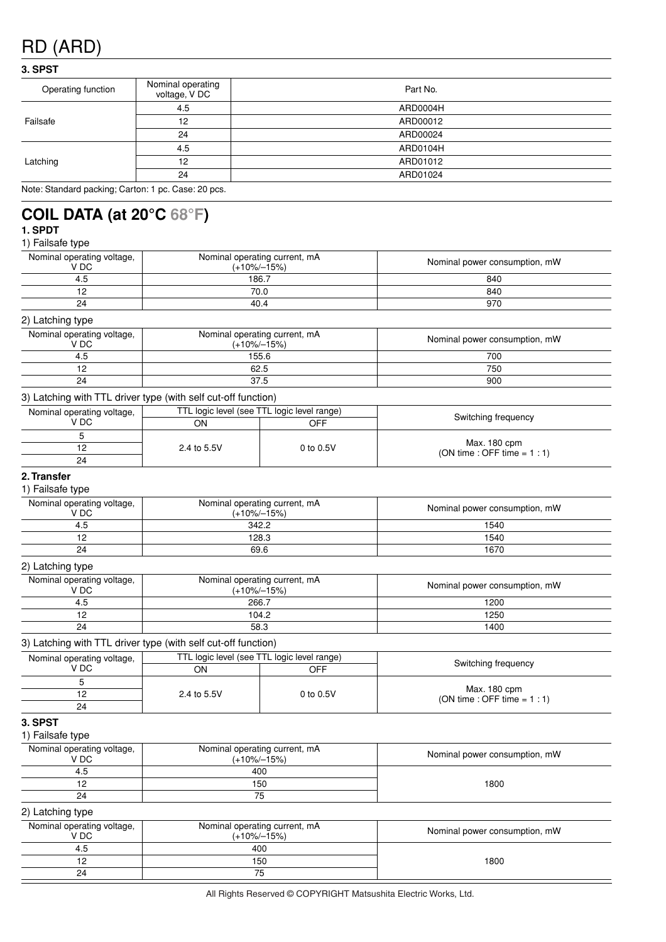# **3. SPST**

| Operating function | Nominal operating<br>voltage, V DC | Part No. |
|--------------------|------------------------------------|----------|
|                    | 4.5                                | ARD0004H |
| Failsafe           | 12                                 | ARD00012 |
| 24<br>4.5<br>12    | ARD00024                           |          |
|                    |                                    | ARD0104H |
| Latching           |                                    | ARD01012 |
|                    | 24                                 | ARD01024 |
|                    |                                    |          |

Note: Standard packing; Carton: 1 pc. Case: 20 pcs.

# **COIL DATA (at 20°C 68°F)**

## **1. SPDT** 1) Failsafe type

| Nominal operating voltage,<br>V DC                            | Nominal operating current, mA<br>$(+10\% - 15\%)$ |           | Nominal power consumption, mW                 |
|---------------------------------------------------------------|---------------------------------------------------|-----------|-----------------------------------------------|
| 4.5                                                           | 186.7                                             |           | 840                                           |
| 12                                                            | 70.0                                              |           | 840                                           |
| 24                                                            | 40.4                                              |           | 970                                           |
| 2) Latching type                                              |                                                   |           |                                               |
| Nominal operating voltage,<br>V DC                            | Nominal operating current, mA<br>$(+10\% - 15\%)$ |           | Nominal power consumption, mW                 |
| 4.5                                                           | 155.6                                             |           | 700                                           |
| 12                                                            | 62.5                                              |           | 750                                           |
| 24                                                            | 37.5                                              |           | 900                                           |
| 3) Latching with TTL driver type (with self cut-off function) |                                                   |           |                                               |
| Nominal operating voltage,                                    | TTL logic level (see TTL logic level range)       |           |                                               |
| V DC                                                          | ON                                                | OFF       | Switching frequency                           |
| 5                                                             |                                                   |           |                                               |
| 12                                                            | 2.4 to 5.5V                                       | 0 to 0.5V | Max. 180 cpm<br>(ON time : OFF time = $1:1$ ) |
| 24                                                            |                                                   |           |                                               |
| 2. Transfer<br>1) Failsafe type                               |                                                   |           |                                               |

| Nominal operating voltage,<br>V DC | Nominal operating current, mA<br>$(+10\% - 15\%)$ | Nominal power consumption, mW |
|------------------------------------|---------------------------------------------------|-------------------------------|
| 4.5                                | 342.2                                             | 1540                          |
| 12                                 | 128.3                                             | 1540                          |
| 24                                 | 69.6                                              | 1670                          |
| 2) Latching type                   |                                                   |                               |
| Nominal operating voltage,<br>V DC | Nominal operating current, mA<br>$(+10\% - 15\%)$ | Nominal power consumption, mW |
| 4.5                                | 266.7                                             | 1200                          |

12 104.2 1250

#### 3) Latching with TTL driver type (with self cut-off function) 24 58.3 1400

| of Latermig with The driver type (with self cut-off function) |             |                                             |                                                |  |  |  |  |  |
|---------------------------------------------------------------|-------------|---------------------------------------------|------------------------------------------------|--|--|--|--|--|
| Nominal operating voltage,                                    |             | TTL logic level (see TTL logic level range) |                                                |  |  |  |  |  |
| V DC                                                          | ΟN          | OFF                                         | Switching frequency                            |  |  |  |  |  |
|                                                               |             |                                             |                                                |  |  |  |  |  |
|                                                               | 2.4 to 5.5V | 0 to 0.5V                                   | Max. 180 cpm<br>$(ON time : OFF time = 1 : 1)$ |  |  |  |  |  |
| 24                                                            |             |                                             |                                                |  |  |  |  |  |

## **3. SPST**

## 1) Failsafe type

| Nominal operating voltage,<br>V DC | Nominal operating current, mA<br>$(+10\% - 15\%)$ | Nominal power consumption, mW |
|------------------------------------|---------------------------------------------------|-------------------------------|
| 4.5                                | 400                                               |                               |
| 12 <sup>°</sup>                    | 150                                               | 1800                          |
| 24                                 | 75                                                |                               |
| 2) Latching type                   |                                                   |                               |
| Nominal operating voltage,<br>V DC | Nominal operating current, mA<br>$(+10\% - 15\%)$ | Nominal power consumption, mW |
| 4.5                                | 400                                               |                               |
| 12                                 | 150                                               | 1800                          |
| 24                                 | 75                                                |                               |
|                                    |                                                   |                               |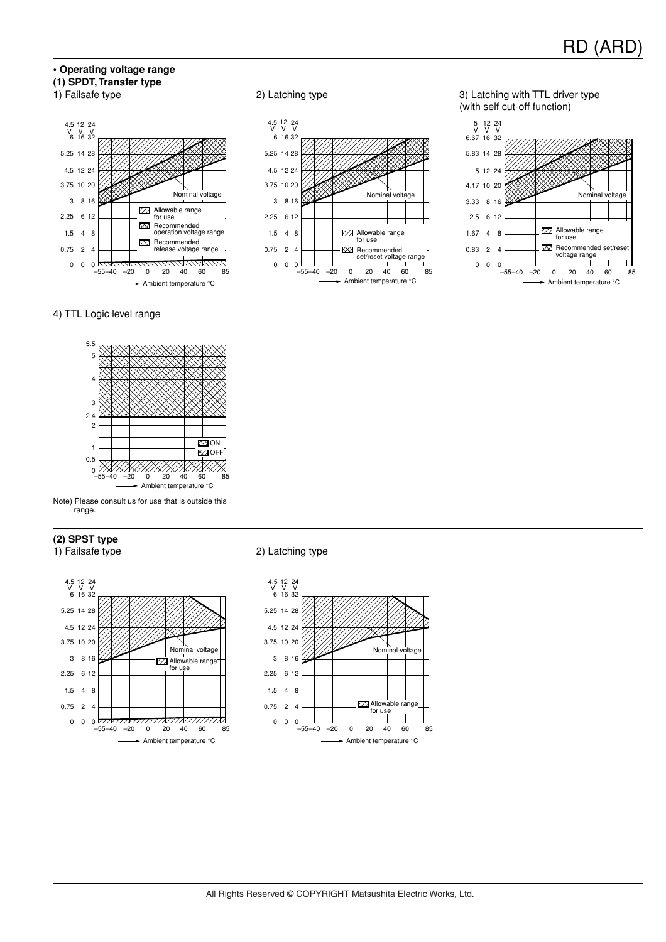## **• Operating voltage range (1) SPDT, Transfer type**









# 4) TTL Logic level range



Note) Please consult us for use that is outside this range.

### **(2) SPST type**





#### 1) Failsafe type 2) Latching type

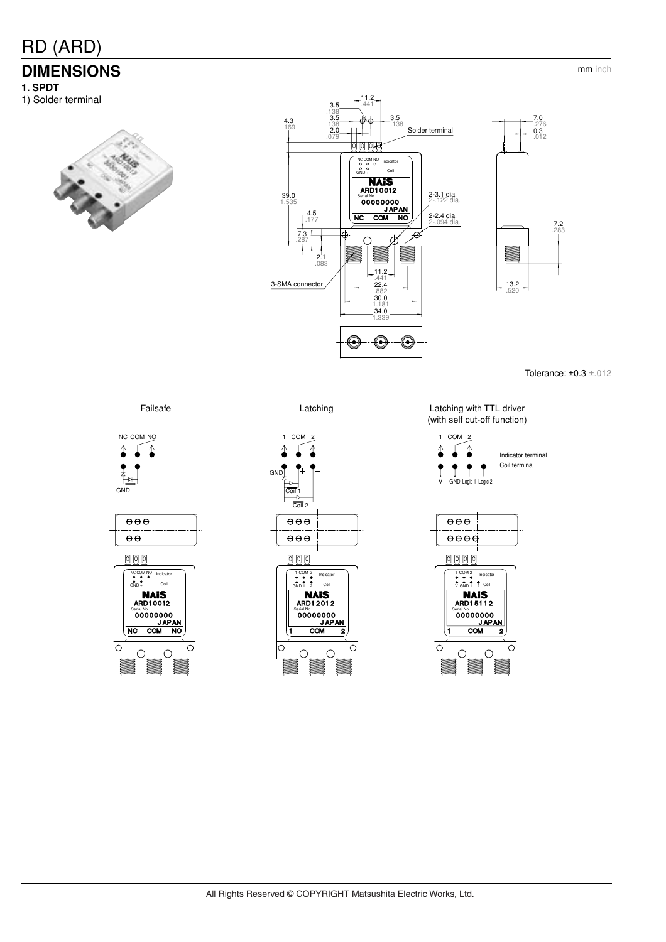# **DIMENSIONS**

**1. SPDT**

1) Solder terminal





Tolerance: ±0.3 ±.012









Failsafe **Latching** Latching **Latching** Latching with TTL driver (with self cut-off function)





mm inch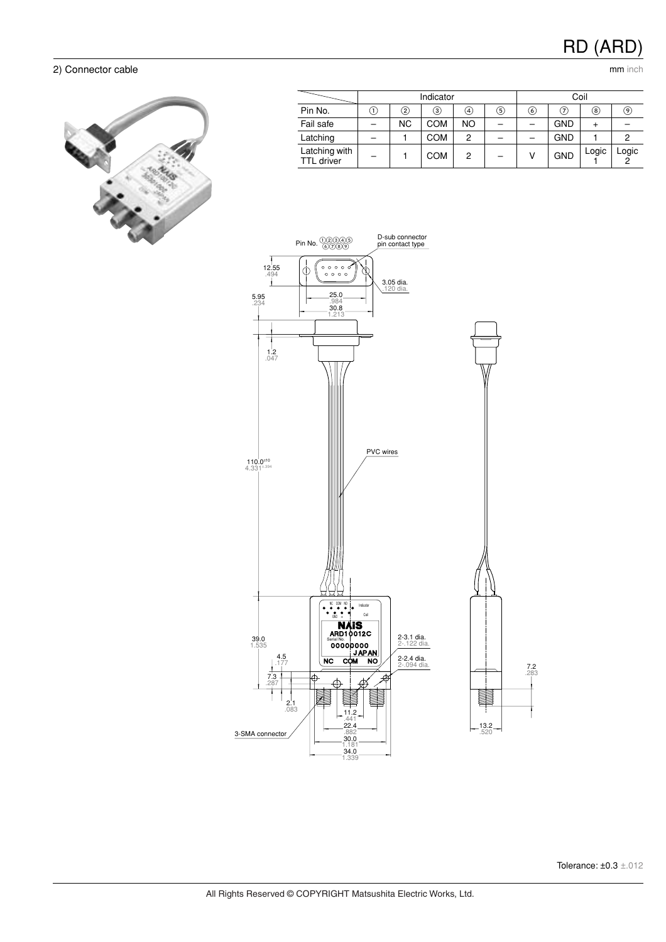## 2) Connector cable mm inch cable



|                                    | Indicator |                   |            |                | Coil |     |            |       |       |
|------------------------------------|-----------|-------------------|------------|----------------|------|-----|------------|-------|-------|
| Pin No.                            | (1)       | $\left( 2\right)$ | $\rm (3)$  | (4)            | (5)  | (6) | (7)        | ⑧     | 9)    |
| Fail safe                          |           | <b>NC</b>         | <b>COM</b> | <b>NO</b>      |      |     | <b>GND</b> |       |       |
| Latching                           |           |                   | <b>COM</b> | $\overline{c}$ |      |     | <b>GND</b> |       |       |
| Latching with<br><b>TTL</b> driver |           |                   | <b>COM</b> | $\overline{c}$ |      |     | <b>GND</b> | Logic | Logic |

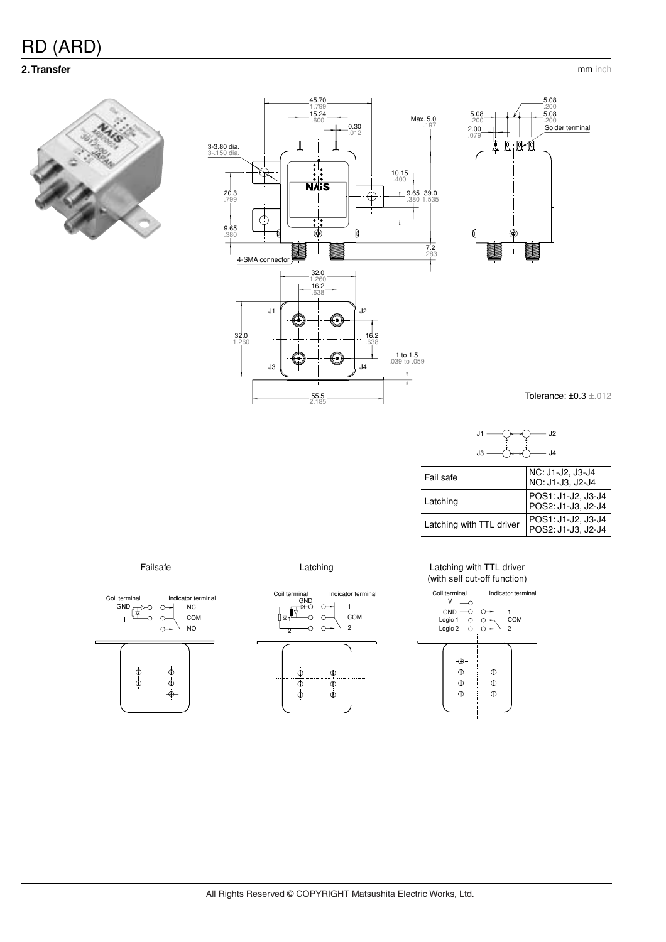# **2. Transfer** mm inch







Tolerance: ±0.3 ±.012



Latching with TTL driver POS1: J1-J2, J3-J4 POS2: J1-J3, J2-J4

| ٠ |  |
|---|--|





#### Failsafe **Example 20** Failsafe Latching **Latching With TTL driver** (with self cut-off function)

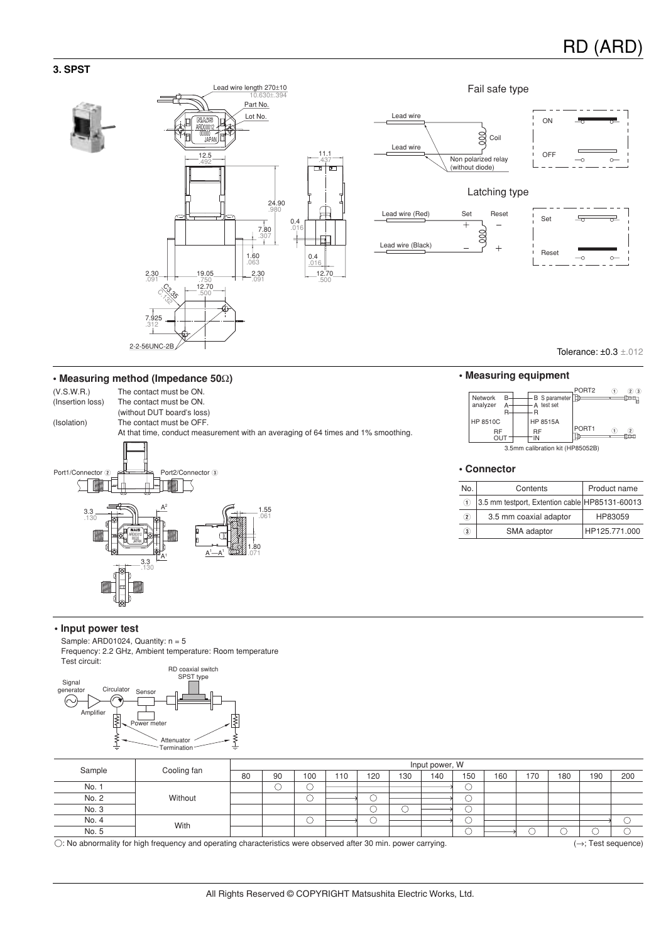## **3. SPST**





Tolerance: ±0.3 ±.012

# **• Measuring method (Impedance 50**Ω**) • Measuring equipment**





Reset

#### **• Connector**

| No.               | Contents                                       | Product name  |
|-------------------|------------------------------------------------|---------------|
| (1)               | 3.5 mm testport, Extention cable HP85131-60013 |               |
| $\left( 2\right)$ | 3.5 mm coaxial adaptor                         | HP83059       |
| $3$               | SMA adaptor                                    | HP125.771.000 |

#### **• Input power test**

Sample: ARD01024, Quantity:  $n = 5$ Frequency: 2.2 GHz, Ambient temperature: Room temperature



| Sample                                                                                                                                       | Cooling fan | Input power, W |    |     |     |     |     |     |     |     |     |     |     |     |
|----------------------------------------------------------------------------------------------------------------------------------------------|-------------|----------------|----|-----|-----|-----|-----|-----|-----|-----|-----|-----|-----|-----|
|                                                                                                                                              |             | 80             | 90 | 100 | 110 | 120 | 130 | 140 | 150 | 160 | 170 | 180 | 190 | 200 |
| No.                                                                                                                                          | Without     |                | r. |     |     |     |     |     |     |     |     |     |     |     |
| No. 2                                                                                                                                        |             |                |    |     |     |     |     |     |     |     |     |     |     |     |
| No. 3                                                                                                                                        |             |                |    |     |     |     |     |     |     |     |     |     |     |     |
| No. 4                                                                                                                                        | With        |                |    | ◡   |     |     |     |     |     |     |     |     |     |     |
| No. 5                                                                                                                                        |             |                |    |     |     |     |     |     |     |     |     |     |     |     |
| $\bigcap$ , Na abnormality for bigh froguency and aportion aboratoriation ware above added 20 min. power correction<br>$\cdot$ Toot convence |             |                |    |     |     |     |     |     |     |     |     |     |     |     |

-: No abnormality for high frequency and operating characteristics were observed after 30 min. power carrying. (→; Test sequence)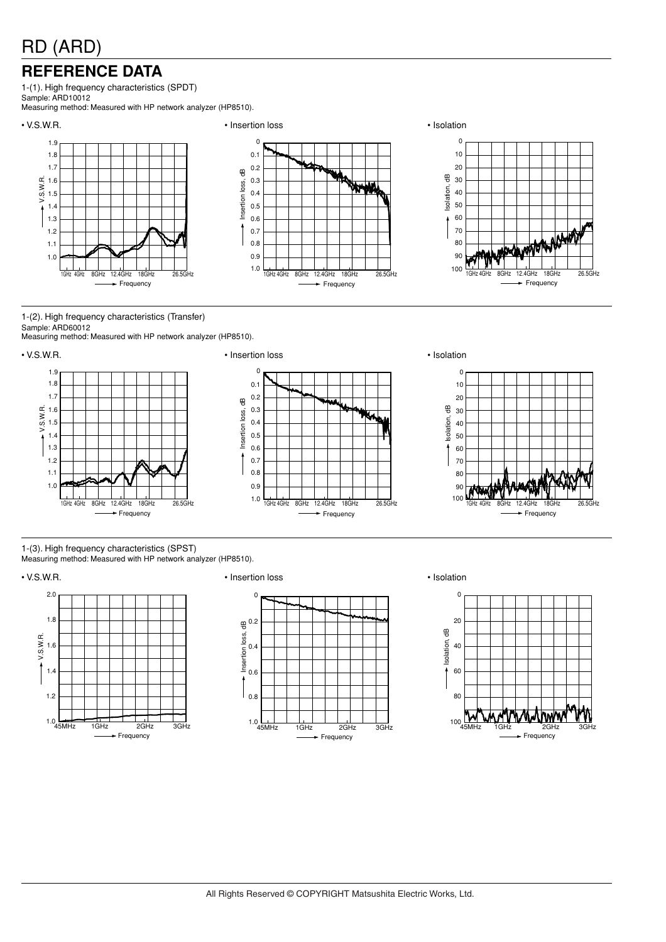# **REFERENCE DATA**

1-(1). High frequency characteristics (SPDT) Sample: ARD10012

Measuring method: Measured with HP network analyzer (HP8510).



1-(2). High frequency characteristics (Transfer) Sample: ARD60012

Measuring method: Measured with HP network analyzer (HP8510).





1-(3). High frequency characteristics (SPST)

Measuring method: Measured with HP network analyzer (HP8510).





## • V.S.W.R. • Insertion loss • Isolation